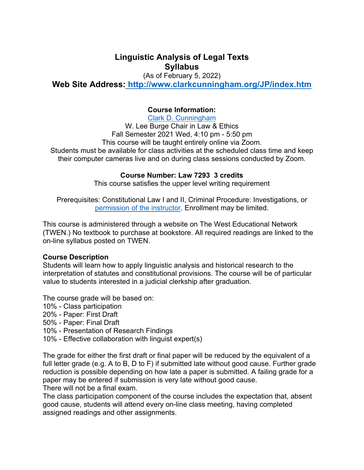# **Linguistic Analysis of Legal Texts Syllabus**

(As of February 5, 2022)

**Web Site Address: http://www.clarkcunningham.org/JP/index.htm**

## **Course Information:**

Clark D. Cunningham W. Lee Burge Chair in Law & Ethics Fall Semester 2021 Wed, 4:10 pm - 5:50 pm This course will be taught entirely online via Zoom. Students must be available for class activities at the scheduled class time and keep their computer cameras live and on during class sessions conducted by Zoom.

## **Course Number: Law 7293 3 credits**

This course satisfies the upper level writing requirement

Prerequisites: Constitutional Law I and II, Criminal Procedure: Investigations, or permission of the instructor. Enrollment may be limited.

This course is administered through a website on The West Educational Network (TWEN.) No textbook to purchase at bookstore. All required readings are linked to the on-line syllabus posted on TWEN.

#### **Course Description**

Students will learn how to apply linguistic analysis and historical research to the interpretation of statutes and constitutional provisions. The course will be of particular value to students interested in a judicial clerkship after graduation.

The course grade will be based on:

- 10% Class participation
- 20% Paper: First Draft
- 50% Paper: Final Draft
- 10% Presentation of Research Findings
- 10% Effective collaboration with linguist expert(s)

The grade for either the first draft or final paper will be reduced by the equivalent of a full letter grade (e.g. A to B, D to F) if submitted late without good cause. Further grade reduction is possible depending on how late a paper is submitted. A failing grade for a paper may be entered if submission is very late without good cause. There will not be a final exam.

The class participation component of the course includes the expectation that, absent good cause, students will attend every on-line class meeting, having completed assigned readings and other assignments.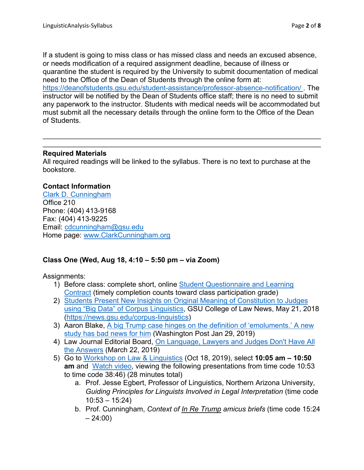If a student is going to miss class or has missed class and needs an excused absence, or needs modification of a required assignment deadline, because of illness or quarantine the student is required by the University to submit documentation of medical need to the Office of the Dean of Students through the online form at: https://deanofstudents.gsu.edu/student-assistance/professor-absence-notification/ . The instructor will be notified by the Dean of Students office staff; there is no need to submit any paperwork to the instructor. Students with medical needs will be accommodated but must submit all the necessary details through the online form to the Office of the Dean of Students.

## **Required Materials**

All required readings will be linked to the syllabus. There is no text to purchase at the bookstore.

## **Contact Information**

Clark D. Cunningham Office 210 Phone: (404) 413-9168 Fax: (404) 413-9225 Email: cdcunningham@gsu.edu Home page: www.ClarkCunningham.org

## **Class One (Wed, Aug 18, 4:10 – 5:50 pm – via Zoom)**

Assignments:

- 1) Before class: complete short, online Student Questionnaire and Learning Contract (timely completion counts toward class participation grade)
- 2) Students Present New Insights on Original Meaning of Constitution to Judges using "Big Data" of Corpus Linguistics, GSU College of Law News, May 21, 2018 (https://news.gsu.edu/corpus-linguistics)
- 3) Aaron Blake, A big Trump case hinges on the definition of 'emoluments.' A new study has bad news for him (Washington Post Jan 29, 2019)
- 4) Law Journal Editorial Board, On Language, Lawyers and Judges Don't Have All the Answers (March 22, 2019)
- 5) Go to Workshop on Law & Linguistics (Oct 18, 2019), select **10:05 am 10:50 am** andWatch video, viewing the following presentations from time code 10:53 to time code 38:46) (28 minutes total)
	- a. Prof. Jesse Egbert, Professor of Linguistics, Northern Arizona University, *Guiding Principles for Linguists Involved in Legal Interpretation* (time code  $10:53 - 15:24$
	- b. Prof. Cunningham, *Context of In Re Trump amicus briefs* (time code 15:24  $-24:00)$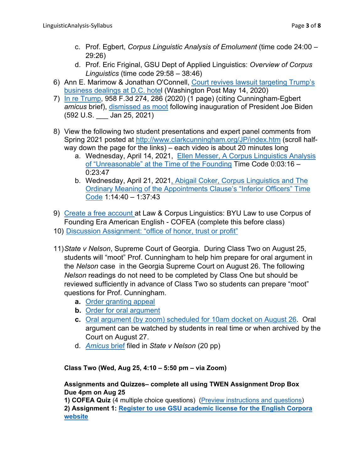- c. Prof. Egbert, *Corpus Linguistic Analysis of Emolument* (time code 24:00 29:26)
- d. Prof. Eric Friginal, GSU Dept of Applied Linguistics: *Overview of Corpus Linguistics* (time code 29:58 – 38:46)
- 6) Ann E. Marimow & Jonathan O'Connell, Court revives lawsuit targeting Trump's business dealings at D.C. hotel (Washington Post May 14, 2020)
- 7) In re Trump, 958 F.3d 274, 286 (2020) (1 page) (citing Cunningham-Egbert *amicus* brief), dismissed as moot following inauguration of President Joe Biden (592 U.S. \_\_\_ Jan 25, 2021)
- 8) View the following two student presentations and expert panel comments from Spring 2021 posted at http://www.clarkcunningham.org/JP/index.htm (scroll halfway down the page for the links) – each video is about 20 minutes long
	- a. Wednesday, April 14, 2021, Ellen Messer, A Corpus Linguistics Analysis of "Unreasonable" at the Time of the Founding Time Code 0:03:16 – 0:23:47
	- b. Wednesday, April 21, 2021, Abigail Coker, Corpus Linguistics and The Ordinary Meaning of the Appointments Clause's "Inferior Officers" Time Code 1:14:40 – 1:37:43
- 9) Create a free account at Law & Corpus Linguistics: BYU Law to use Corpus of Founding Era American English - COFEA (complete this before class)
- 10) Discussion Assignment: "office of honor, trust or profit"
- 11) *State v Nelson*, Supreme Court of Georgia. During Class Two on August 25, students will "moot" Prof. Cunningham to help him prepare for oral argument in the *Nelson* case in the Georgia Supreme Court on August 26. The following *Nelson* readings do not need to be completed by Class One but should be reviewed sufficiently in advance of Class Two so students can prepare "moot" questions for Prof. Cunningham.
	- **a.** Order granting appeal
	- **b.** Order for oral argument
	- **c.** Oral argument (by zoom) scheduled for 10am docket on August 26. Oral argument can be watched by students in real time or when archived by the Court on August 27.
	- d. *Amicus* brief filed in *State v Nelson* (20 pp)

**Class Two (Wed, Aug 25, 4:10 – 5:50 pm – via Zoom)** 

## **Assignments and Quizzes– complete all using TWEN Assignment Drop Box Due 4pm on Aug 25**

**1) COFEA Quiz** (4 multiple choice questions) (Preview instructions and questions) **2) Assignment 1: Register to use GSU academic license for the English Corpora website**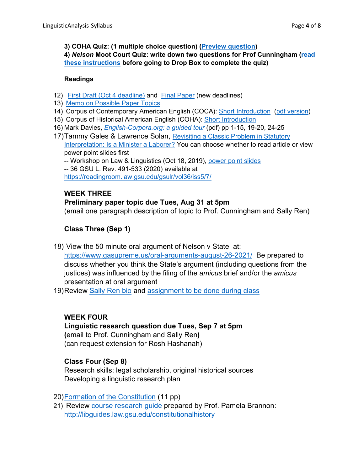**3) COHA Quiz: (1 multiple choice question) (Preview question)** 

**4)** *Nelson* **Moot Court Quiz: write down two questions for Prof Cunningham (read these instructions before going to Drop Box to complete the quiz)** 

#### **Readings**

- 12) First Draft (Oct 4 deadline) and Final Paper (new deadlines)
- 13) Memo on Possible Paper Topics
- 14) Corpus of Contemporary American English (COCA): Short Introduction (pdf version)
- 15) Corpus of Historical American English (COHA): Short Introduction
- 16) Mark Davies, *English-Corpora.org: a guided tour* (pdf) pp 1-15, 19-20, 24-25
- 17) Tammy Gales & Lawrence Solan, Revisiting a Classic Problem in Statutory Interpretation: Is a Minister a Laborer? You can choose whether to read article or view power point slides first

-- Workshop on Law & Linguistics (Oct 18, 2019), power point slides -- 36 GSU L. Rev. 491-533 (2020) available at https://readingroom.law.gsu.edu/gsulr/vol36/iss5/7/

# **WEEK THREE**

## **Preliminary paper topic due Tues, Aug 31 at 5pm**

(email one paragraph description of topic to Prof. Cunningham and Sally Ren)

# **Class Three (Sep 1)**

18) View the 50 minute oral argument of Nelson v State at:

https://www.gasupreme.us/oral-arguments-august-26-2021/ Be prepared to discuss whether you think the State's argument (including questions from the justices) was influenced by the filing of the *amicus* brief and/or the *amicus* presentation at oral argument

19) Review Sally Ren bio and assignment to be done during class

## **WEEK FOUR**

## **Linguistic research question due Tues, Sep 7 at 5pm (**email to Prof. Cunningham and Sally Ren**)**  (can request extension for Rosh Hashanah)

## **Class Four (Sep 8)**

Research skills: legal scholarship, original historical sources Developing a linguistic research plan

20) Formation of the Constitution (11 pp)

21) Review course research guide prepared by Prof. Pamela Brannon: http://libguides.law.gsu.edu/constitutionalhistory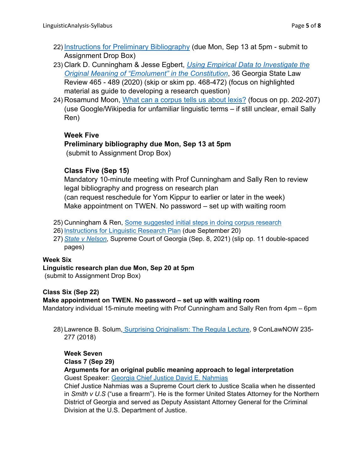- 22) Instructions for Preliminary Bibliography (due Mon, Sep 13 at 5pm submit to Assignment Drop Box)
- 23) Clark D. Cunningham & Jesse Egbert, *Using Empirical Data to Investigate the Original Meaning of "Emolument" in the Constitution*, 36 Georgia State Law Review 465 - 489 (2020) (skip or skim pp. 468-472) (focus on highlighted material as guide to developing a research question)
- 24) Rosamund Moon, What can a corpus tells us about lexis? (focus on pp. 202-207) (use Google/Wikipedia for unfamiliar linguistic terms – if still unclear, email Sally Ren)

#### **Week Five**

## **Preliminary bibliography due Mon, Sep 13 at 5pm**

(submit to Assignment Drop Box)

## **Class Five (Sep 15)**

Mandatory 10-minute meeting with Prof Cunningham and Sally Ren to review legal bibliography and progress on research plan (can request reschedule for Yom Kippur to earlier or later in the week) Make appointment on TWEN. No password – set up with waiting room

- 25) Cunningham & Ren, Some suggested initial steps in doing corpus research
- 26) Instructions for Linguistic Research Plan (due September 20)
- 27) *State v Nelson*, Supreme Court of Georgia (Sep. 8, 2021) (slip op. 11 double-spaced pages)

#### **Week Six**

#### **Linguistic research plan due Mon, Sep 20 at 5pm**

(submit to Assignment Drop Box)

#### **Class Six (Sep 22)**

#### **Make appointment on TWEN. No password – set up with waiting room**

Mandatory individual 15-minute meeting with Prof Cunningham and Sally Ren from 4pm – 6pm

28) Lawrence B. Solum, Surprising Originalism: The Regula Lecture, 9 ConLawNOW 235-277 (2018)

# **Week Seven**

# **Class 7 (Sep 29)**

**Arguments for an original public meaning approach to legal interpretation**  Guest Speaker: Georgia Chief Justice David E. Nahmias

Chief Justice Nahmias was a Supreme Court clerk to Justice Scalia when he dissented in *Smith v U.S* ("use a firearm"). He is the former United States Attorney for the Northern District of Georgia and served as Deputy Assistant Attorney General for the Criminal Division at the U.S. Department of Justice.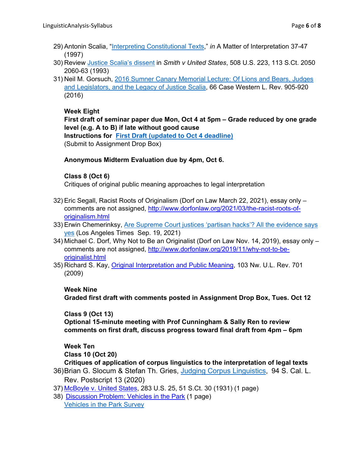- 29) Antonin Scalia, "Interpreting Constitutional Texts," *in* A Matter of Interpretation 37-47 (1997)
- 30) Review Justice Scalia's dissent in *Smith v United States*, 508 U.S. 223, 113 S.Ct. 2050 2060-63 (1993)
- 31) Neil M. Gorsuch, 2016 Sumner Canary Memorial Lecture: Of Lions and Bears, Judges and Legislators, and the Legacy of Justice Scalia, 66 Case Western L. Rev. 905-920 (2016)

#### **Week Eight**

**First draft of seminar paper due Mon, Oct 4 at 5pm – Grade reduced by one grade level (e.g. A to B) if late without good cause** 

**Instructions for First Draft (updated to Oct 4 deadline)** (Submit to Assignment Drop Box)

#### **Anonymous Midterm Evaluation due by 4pm, Oct 6.**

#### **Class 8 (Oct 6)**

Critiques of original public meaning approaches to legal interpretation

- 32) Eric Segall, Racist Roots of Originalism (Dorf on Law March 22, 2021), essay only comments are not assigned, http://www.dorfonlaw.org/2021/03/the-racist-roots-oforiginalism.html
- 33) Erwin Chemerinksy, Are Supreme Court justices 'partisan hacks'? All the evidence says yes (Los Angeles Times Sep. 19, 2021)
- 34) Michael C. Dorf, Why Not to Be an Originalist (Dorf on Law Nov. 14, 2019), essay only comments are not assigned, http://www.dorfonlaw.org/2019/11/why-not-to-beoriginalist.html
- 35) Richard S. Kay, Original Interpretation and Public Meaning, 103 Nw. U.L. Rev. 701 (2009)

#### **Week Nine**

**Graded first draft with comments posted in Assignment Drop Box, Tues. Oct 12** 

**Class 9 (Oct 13)** 

**Optional 15-minute meeting with Prof Cunningham & Sally Ren to review comments on first draft, discuss progress toward final draft from 4pm – 6pm** 

**Week Ten** 

**Class 10 (Oct 20)** 

**Critiques of application of corpus linguistics to the interpretation of legal texts**

- 36) Brian G. Slocum & Stefan Th. Gries, Judging Corpus Linguistics, 94 S. Cal. L. Rev. Postscript 13 (2020)
- 37) McBoyle v. United States, 283 U.S. 25, 51 S.Ct. 30 (1931) (1 page)
- 38) Discussion Problem: Vehicles in the Park (1 page) Vehicles in the Park Survey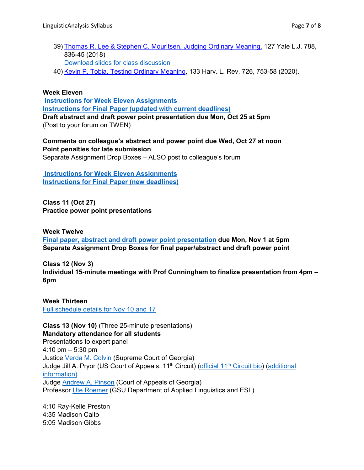- 39) Thomas R. Lee & Stephen C. Mouritsen, Judging Ordinary Meaning, 127 Yale L.J. 788, 836-45 (2018) Download slides for class discussion
- 40) Kevin P. Tobia, Testing Ordinary Meaning, 133 Harv. L. Rev. 726, 753-58 (2020).

#### **Week Eleven**

 **Instructions for Week Eleven Assignments Instructions for Final Paper (updated with current deadlines) Draft abstract and draft power point presentation due Mon, Oct 25 at 5pm**  (Post to your forum on TWEN)

**Comments on colleague's abstract and power point due Wed, Oct 27 at noon Point penalties for late submission** 

Separate Assignment Drop Boxes – ALSO post to colleague's forum

 **Instructions for Week Eleven Assignments Instructions for Final Paper (new deadlines)**

**Class 11 (Oct 27) Practice power point presentations** 

**Week Twelve Final paper, abstract and draft power point presentation due Mon, Nov 1 at 5pm Separate Assignment Drop Boxes for final paper/abstract and draft power point** 

**Class 12 (Nov 3) Individual 15-minute meetings with Prof Cunningham to finalize presentation from 4pm – 6pm** 

**Week Thirteen**  Full schedule details for Nov 10 and 17

**Class 13 (Nov 10)** (Three 25-minute presentations) **Mandatory attendance for all students**  Presentations to expert panel 4:10 pm – 5:30 pm Justice Verda M. Colvin (Supreme Court of Georgia) Judge Jill A. Pryor (US Court of Appeals, 11<sup>th</sup> Circuit) (official 11<sup>th</sup> Circuit bio) (additional information) Judge Andrew A. Pinson (Court of Appeals of Georgia) Professor Ute Roemer (GSU Department of Applied Linguistics and ESL)

4:10 Ray-Kelle Preston 4:35 Madison Caito 5:05 Madison Gibbs